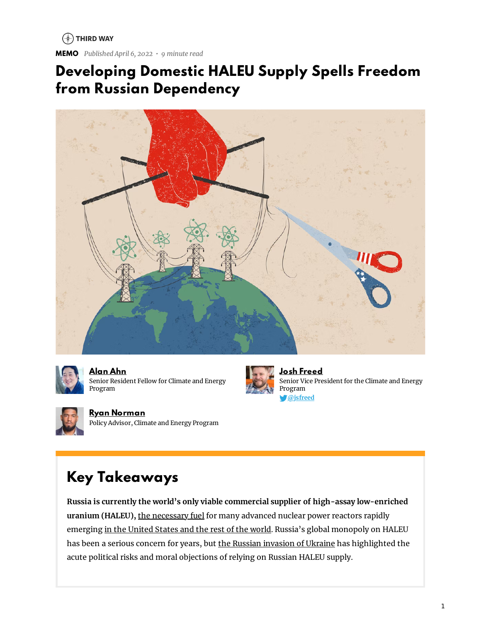$(*)$  THIRD WAY

**MEMO** *Published April 6, 2022 • 9 minute read*

## **Developing Domestic HALEU Supply Spells Freedom from Russian Dependency**





**[Alan](https://www.thirdway.org/about/staff/alan-ahn) Ahn** Senior Resident Fellow for Climate and Energy Program

Policy Advisor, Climate and Energy Program



**Josh [Freed](https://www.thirdway.org/about/staff/josh-freed)** Senior Vice President for the Climate and Energy Program **[@jsfreed](https://www.twitter.com/jsfreed)**

# **Key Takeaways**

**Ryan [Norman](https://www.thirdway.org/about/staff/ryan-norman)**

**Russia is currently the world's only viable commercial supplier of high-assay low-enriched uranium (HALEU),** the [necessary](https://www.thirdway.org/memo/background-and-policy-issues-haleu-fuel-supply) fuel for many advanced nuclear power reactors rapidly emerging in the [United](https://www.thirdway.org/graphic/2022-advanced-nuclear-map-charting-a-breakout-year) States and the rest of the world. Russia's global monopoly on HALEU has been a serious concern for years, but the Russian [invasion](https://www.thirdway.org/press/third-way-statement-on-russian-invasion-of-ukraine) of Ukraine has highlighted the acute political risks and moral objections of relying on Russian HALEU supply.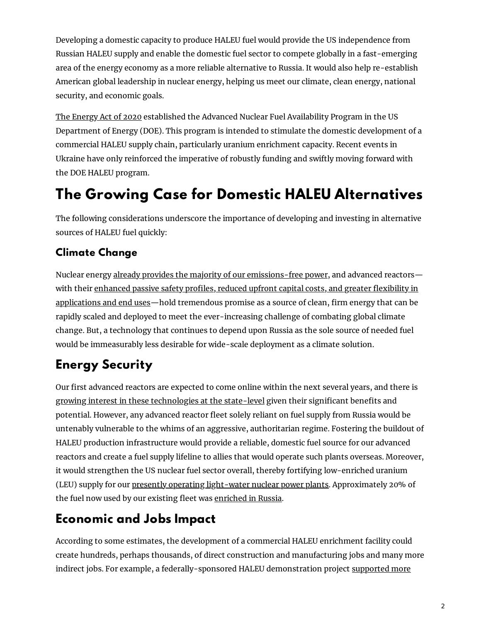Developing a domestic capacity to produce HALEU fuel would provide the US independence from Russian HALEU supply and enable the domestic fuel sector to compete globally in a fast-emerging area of the energy economy as a more reliable alternative to Russia. It would also help re-establish American global leadership in nuclear energy, helping us meet our climate, clean energy, national security, and economic goals.

The [Energy](https://www.thirdway.org/blog/congress-makes-a-downpayment-on-our-clean-energy-future) Act of 2020 established the Advanced Nuclear Fuel Availability Program in the US Department of Energy (DOE). This program is intended to stimulate the domestic development of a commercial HALEU supply chain, particularly uranium enrichment capacity. Recent events in Ukraine have only reinforced the imperative of robustly funding and swiftly moving forward with the DOE HALEU program.

# **The Growing Case for Domestic HALEU Alternatives**

The following considerations underscore the importance of developing and investing in alternative sources of HALEU fuel quickly:

#### **Climate Change**

Nuclear energy already provides the majority of our [emissions-free](https://www.thirdway.org/video/why-we-need-to-save-our-nuclear-power-plants) power, and advanced reactorswith their enhanced passive safety profiles, reduced upfront capital costs, and greater flexibility in [applications](http://www.advancednuclearenergy.org/library) and end uses—hold tremendous promise as a source of clean, firm energy that can be rapidly scaled and deployed to meet the ever-increasing challenge of combating global climate change. But, a technology that continues to depend upon Russia as the sole source of needed fuel would be immeasurably less desirable for wide-scale deployment as a climate solution.

### **Energy Security**

Our first advanced reactors are expected to come online within the next several years, and there is growing interest in these [technologies](https://news.bloomberglaw.com/environment-and-energy/nuclear-bans-tumble-as-once-skeptical-states-seek-carbon-cuts) at the state-level given their significant benefits and potential. However, any advanced reactor fleet solely reliant on fuel supply from Russia would be untenably vulnerable to the whims of an aggressive, authoritarian regime. Fostering the buildout of HALEU production infrastructure would provide a reliable, domestic fuel source for our advanced reactors and create a fuel supply lifeline to allies that would operate such plants overseas. Moreover, it would strengthen the US nuclear fuel sector overall, thereby fortifying low-enriched uranium (LEU) supply for our presently operating [light-water](https://www.thirdway.org/memo/importance-of-preserving-existing-nuclear) nuclear power plants. Approximately 20% of the fuel now used by our existing fleet was [enriched](https://www.bloomberg.com/news/articles/2022-03-03/russian-sanctions-pose-risks-to-u-s-nuclear-power-industry) in Russia.

#### **Economic and Jobs Impact**

According to some estimates, the development of a commercial HALEU enrichment facility could create hundreds, perhaps thousands, of direct construction and manufacturing jobs and many more indirect jobs. For example, a [federally-sponsored](https://www.energy.gov/ne/articles/centrus-becomes-first-us-licensed-haleu-production-facility) HALEU demonstration project supported more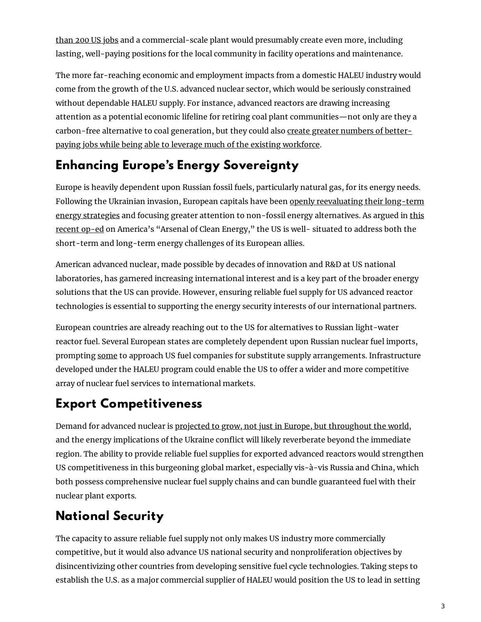than 200 US jobs and a [commercial-scale](https://www.energy.gov/ne/articles/centrus-becomes-first-us-licensed-haleu-production-facility) plant would presumably create even more, including lasting, well-paying positions for the local community in facility operations and maintenance.

The more far-reaching economic and employment impacts from a domestic HALEU industry would come from the growth of the U.S. advanced nuclear sector, which would be seriously constrained without dependable HALEU supply. For instance, advanced reactors are drawing increasing attention as a potential economic lifeline for retiring coal plant communities—not only are they a [carbon-free](https://www.scottmadden.com/content/uploads/2021/10/ScottMadden_Gone_With_The_Steam_WhitePaper_final4.pdf) alternative to coal generation, but they could also create greater numbers of betterpaying jobs while being able to leverage much of the existing workforce.

#### **Enhancing Europe's Energy Sovereignty**

Europe is heavily dependent upon Russian fossil fuels, particularly natural gas, for its energy needs. Following the Ukrainian invasion, European capitals have been openly [reevaluating](https://www.economist.com/business/2022/03/05/europe-reconsiders-its-energy-future) their long-term energy strategies and focusing greater attention to non-fossil energy [alternatives.](https://www.politico.com/news/magazine/2022/03/15/russia-america-arsenal-clean-energy-00016998) As argued in this recent op-ed on America's "Arsenal of Clean Energy," the US is well- situated to address both the short-term and long-term energy challenges of its European allies.

American advanced nuclear, made possible by decades of innovation and R&D at US national laboratories, has garnered increasing international interest and is a key part of the broader energy solutions that the US can provide. However, ensuring reliable fuel supply for US advanced reactor technologies is essential to supporting the energy security interests of our international partners.

European countries are already reaching out to the US for alternatives to Russian light-water reactor fuel. Several European states are completely dependent upon Russian nuclear fuel imports, prompting [some](https://www.euractiv.com/section/politics/short_news/cee-future-of-russian-nuclear-unclear/) to approach US fuel companies for substitute supply arrangements. Infrastructure developed under the HALEU program could enable the US to offer a wider and more competitive array of nuclear fuel services to international markets.

#### **Export Competitiveness**

Demand for advanced nuclear is projected to grow, not just in Europe, but [throughout](https://www.thirdway.org/memo/2021-update-map-of-the-global-market-for-advanced-nuclear) the world, and the energy implications of the Ukraine conflict will likely reverberate beyond the immediate region. The ability to provide reliable fuel supplies for exported advanced reactors would strengthen US competitiveness in this burgeoning global market, especially vis-à-vis Russia and China, which both possess comprehensive nuclear fuel supply chains and can bundle guaranteed fuel with their nuclear plant exports.

### **National Security**

The capacity to assure reliable fuel supply not only makes US industry more commercially competitive, but it would also advance US national security and nonproliferation objectives by disincentivizing other countries from developing sensitive fuel cycle technologies. Taking steps to establish the U.S. as a major commercial supplier of HALEU would position the US to lead in setting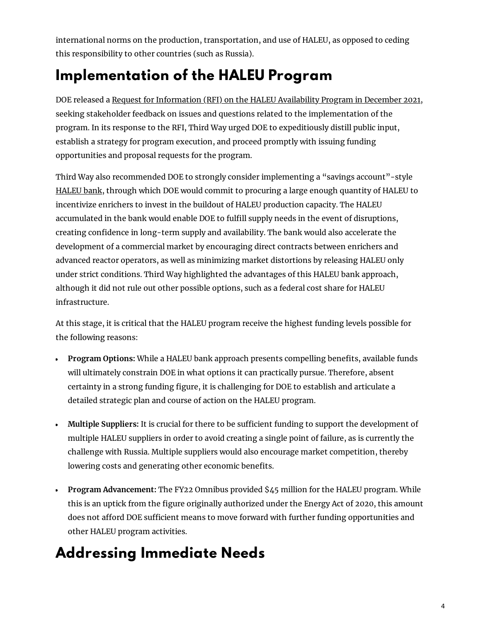international norms on the production, transportation, and use of HALEU, as opposed to ceding this responsibility to other countries (such as Russia).

# **Implementation of the HALEU Program**

DOE released a Request for [Information](https://www.energy.gov/ne/articles/us-department-energy-seeks-input-creation-haleu-availability-program) (RFI) on the HALEU Availability Program in December 2021, seeking stakeholder feedback on issues and questions related to the implementation of the program. In its response to the RFI, Third Way urged DOE to expeditiously distill public input, establish a strategy for program execution, and proceed promptly with issuing funding opportunities and proposal requests for the program.

Third Way also recommended DOE to strongly consider implementing a "savings account"-style [HALEU](https://www.atlanticcouncil.org/blogs/energysource/how-a-haleu-bank-could-work/) bank, through which DOE would commit to procuring a large enough quantity of HALEU to incentivize enrichers to invest in the buildout of HALEU production capacity. The HALEU accumulated in the bank would enable DOE to fulfill supply needs in the event of disruptions, creating confidence in long-term supply and availability. The bank would also accelerate the development of a commercial market by encouraging direct contracts between enrichers and advanced reactor operators, as well as minimizing market distortions by releasing HALEU only under strict conditions. Third Way highlighted the advantages of this HALEU bank approach, although it did not rule out other possible options, such as a federal cost share for HALEU infrastructure.

At this stage, it is critical that the HALEU program receive the highest funding levels possible for the following reasons:

- **Program Options:** While a HALEU bank approach presents compelling benefits, available funds will ultimately constrain DOE in what options it can practically pursue. Therefore, absent certainty in a strong funding figure, it is challenging for DOE to establish and articulate a detailed strategic plan and course of action on the HALEU program.
- Multiple Suppliers: It is crucial for there to be sufficient funding to support the development of multiple HALEU suppliers in order to avoid creating a single point of failure, as is currently the challenge with Russia. Multiple suppliers would also encourage market competition, thereby lowering costs and generating other economic benefits.
- **Program Advancement:** The FY22 Omnibus provided \$45 million for the HALEU program. While  $\bullet$ this is an uptick from the figure originally authorized under the Energy Act of 2020, this amount does not afford DOE sufficient means to move forward with further funding opportunities and other HALEU program activities.

# **Addressing Immediate Needs**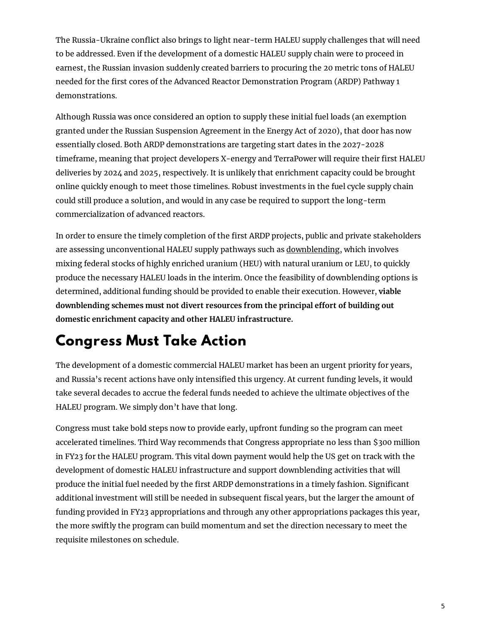The Russia-Ukraine conflict also brings to light near-term HALEU supply challenges that will need to be addressed. Even if the development of a domestic HALEU supply chain were to proceed in earnest, the Russian invasion suddenly created barriers to procuring the 20 metric tons of HALEU needed for the first cores of the Advanced Reactor Demonstration Program (ARDP) Pathway 1 demonstrations.

Although Russia was once considered an option to supply these initial fuel loads (an exemption granted under the Russian Suspension Agreement in the Energy Act of 2020), that door has now essentially closed. Both ARDP demonstrations are targeting start dates in the 2027-2028 timeframe, meaning that project developers X-energy and TerraPower will require their first HALEU deliveries by 2024 and 2025, respectively. It is unlikely that enrichment capacity could be brought online quickly enough to meet those timelines. Robust investments in the fuel cycle supply chain could still produce a solution, and would in any case be required to support the long-term commercialization of advanced reactors.

In order to ensure the timely completion of the first ARDP projects, public and private stakeholders are assessing unconventional HALEU supply pathways such as [downblending,](https://www.world-nuclear-news.org/Articles/US-awards-HEU-downblending-contract) which involves mixing federal stocks of highly enriched uranium (HEU) with natural uranium or LEU, to quickly produce the necessary HALEU loads in the interim. Once the feasibility of downblending options is determined, additional funding should be provided to enable their execution. However, **viable downblending** schemes must not divert resources from the principal effort of building out **domestic enrichment capacity and other HALEU infrastructure.**

# **Congress Must Take Action**

The development of a domestic commercial HALEU market has been an urgent priority for years, and Russia's recent actions have only intensified this urgency. At current funding levels, it would take several decades to accrue the federal funds needed to achieve the ultimate objectives of the HALEU program. We simply don't have that long.

Congress must take bold steps now to provide early, upfront funding so the program can meet accelerated timelines. Third Way recommends that Congress appropriate no less than \$300 million in FY23 for the HALEU program. This vital down payment would help the US get on track with the development of domestic HALEU infrastructure and support downblending activities that will produce the initial fuel needed by the first ARDP demonstrations in a timely fashion. Significant additional investment will still be needed in subsequent fiscal years, but the larger the amount of funding provided in FY23 appropriations and through any other appropriations packages this year, the more swiftly the program can build momentum and set the direction necessary to meet the requisite milestones on schedule.